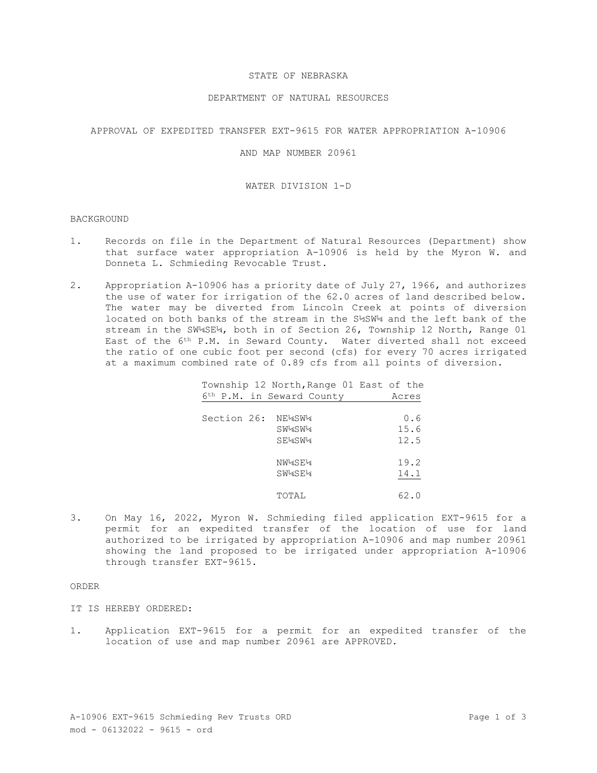## STATE OF NEBRASKA

### DEPARTMENT OF NATURAL RESOURCES

## APPROVAL OF EXPEDITED TRANSFER EXT-9615 FOR WATER APPROPRIATION A-10906

## AND MAP NUMBER 20961

### WATER DIVISION 1-D

#### BACKGROUND

- 1. Records on file in the Department of Natural Resources (Department) show that surface water appropriation A-10906 is held by the Myron W. and Donneta L. Schmieding Revocable Trust.
- 2. Appropriation A-10906 has a priority date of July 27, 1966, and authorizes the use of water for irrigation of the 62.0 acres of land described below. The water may be diverted from Lincoln Creek at points of diversion located on both banks of the stream in the S½SW¼ and the left bank of the stream in the SW¼SE¼, both in of Section 26, Township 12 North, Range 01 East of the 6th P.M. in Seward County. Water diverted shall not exceed the ratio of one cubic foot per second (cfs) for every 70 acres irrigated at a maximum combined rate of 0.89 cfs from all points of diversion.

|                    | Township 12 North, Range 01 East of the<br>6th P.M. in Seward County | Acres               |
|--------------------|----------------------------------------------------------------------|---------------------|
| Section 26: NE¼SW¼ | SW4SW4<br>SE4SW4                                                     | 0.6<br>15.6<br>12.5 |
|                    | NW4SE4<br>SW4SE4                                                     | 19.2<br>14.1        |
|                    | TOTAL                                                                | 62.0                |

3. On May 16, 2022, Myron W. Schmieding filed application EXT-9615 for a permit for an expedited transfer of the location of use for land authorized to be irrigated by appropriation A-10906 and map number 20961 showing the land proposed to be irrigated under appropriation A-10906 through transfer EXT-9615.

# ORDER

- IT IS HEREBY ORDERED:
- 1. Application EXT-9615 for a permit for an expedited transfer of the location of use and map number 20961 are APPROVED.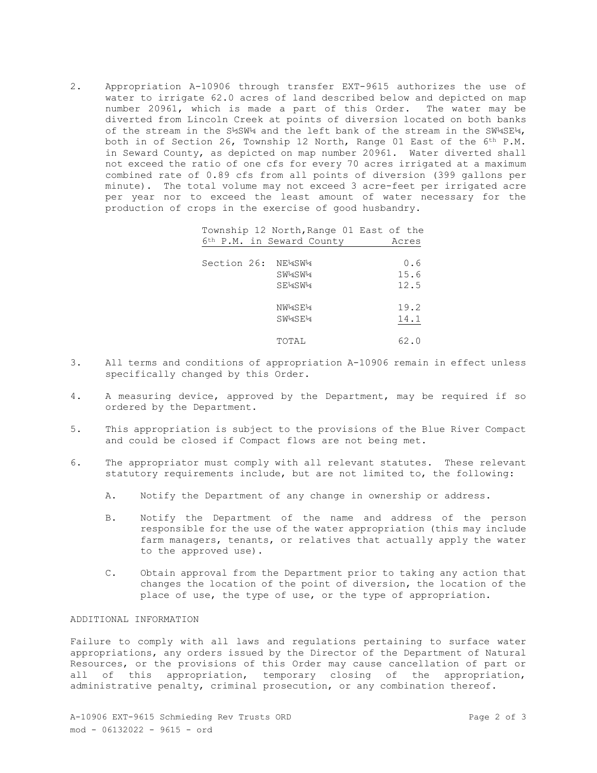2. Appropriation A-10906 through transfer EXT-9615 authorizes the use of water to irrigate 62.0 acres of land described below and depicted on map number 20961, which is made a part of this Order. The water may be diverted from Lincoln Creek at points of diversion located on both banks of the stream in the S1%SW14 and the left bank of the stream in the SW14SE14, both in of Section 26, Township 12 North, Range 01 East of the 6th P.M. in Seward County, as depicted on map number 20961. Water diverted shall not exceed the ratio of one cfs for every 70 acres irrigated at a maximum combined rate of 0.89 cfs from all points of diversion (399 gallons per minute). The total volume may not exceed 3 acre-feet per irrigated acre per year nor to exceed the least amount of water necessary for the production of crops in the exercise of good husbandry.

> Township 12 North,Range 01 East of the 6th P.M. in Seward County Acres

| Section 26: | NE4SW4<br>SW4SW4<br>SE4SW4 | 0.6<br>15.6<br>12.5 |
|-------------|----------------------------|---------------------|
|             | NW4SE4<br>SW4SE4           | 19.2<br>14.1        |
|             | TOTAL                      | 62.0                |

- 3. All terms and conditions of appropriation A-10906 remain in effect unless specifically changed by this Order.
- 4. A measuring device, approved by the Department, may be required if so ordered by the Department.
- 5. This appropriation is subject to the provisions of the Blue River Compact and could be closed if Compact flows are not being met.
- 6. The appropriator must comply with all relevant statutes. These relevant statutory requirements include, but are not limited to, the following:
	- A. Notify the Department of any change in ownership or address.
	- B. Notify the Department of the name and address of the person responsible for the use of the water appropriation (this may include farm managers, tenants, or relatives that actually apply the water to the approved use).
	- C. Obtain approval from the Department prior to taking any action that changes the location of the point of diversion, the location of the place of use, the type of use, or the type of appropriation.

# ADDITIONAL INFORMATION

Failure to comply with all laws and regulations pertaining to surface water appropriations, any orders issued by the Director of the Department of Natural Resources, or the provisions of this Order may cause cancellation of part or all of this appropriation, temporary closing of the appropriation, administrative penalty, criminal prosecution, or any combination thereof.

A-10906 EXT-9615 Schmieding Rev Trusts ORD Page 2 of 3 mod - 06132022 - 9615 - ord